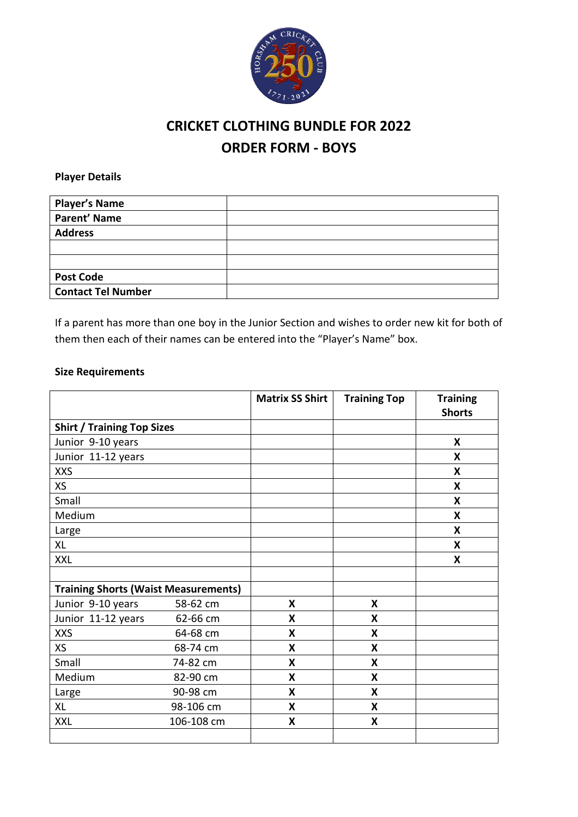

## **CRICKET CLOTHING BUNDLE FOR 2022 ORDER FORM - BOYS**

**Player Details**

| <b>Player's Name</b>      |  |
|---------------------------|--|
| <b>Parent' Name</b>       |  |
| <b>Address</b>            |  |
|                           |  |
|                           |  |
| <b>Post Code</b>          |  |
| <b>Contact Tel Number</b> |  |

If a parent has more than one boy in the Junior Section and wishes to order new kit for both of them then each of their names can be entered into the "Player's Name" box.

## **Size Requirements**

|                                             |            | <b>Matrix SS Shirt</b> | <b>Training Top</b> | <b>Training</b><br><b>Shorts</b> |
|---------------------------------------------|------------|------------------------|---------------------|----------------------------------|
| <b>Shirt / Training Top Sizes</b>           |            |                        |                     |                                  |
| Junior 9-10 years                           |            |                        |                     | X                                |
| Junior 11-12 years                          |            |                        |                     | X                                |
| <b>XXS</b>                                  |            |                        |                     | X                                |
| <b>XS</b>                                   |            |                        |                     | X                                |
| Small                                       |            |                        |                     | X                                |
| Medium                                      |            |                        |                     | X                                |
| Large                                       |            |                        |                     | X                                |
| <b>XL</b>                                   |            |                        |                     | X                                |
| <b>XXL</b>                                  |            |                        |                     | X                                |
|                                             |            |                        |                     |                                  |
| <b>Training Shorts (Waist Measurements)</b> |            |                        |                     |                                  |
| Junior 9-10 years                           | 58-62 cm   | X                      | X                   |                                  |
| Junior 11-12 years                          | 62-66 cm   | X                      | X                   |                                  |
| <b>XXS</b>                                  | 64-68 cm   | X                      | X                   |                                  |
| XS                                          | 68-74 cm   | X                      | X                   |                                  |
| Small                                       | 74-82 cm   | X                      | X                   |                                  |
| Medium                                      | 82-90 cm   | X                      | X                   |                                  |
| Large                                       | 90-98 cm   | X                      | X                   |                                  |
| <b>XL</b>                                   | 98-106 cm  | X                      | X                   |                                  |
| <b>XXL</b>                                  | 106-108 cm | X                      | X                   |                                  |
|                                             |            |                        |                     |                                  |